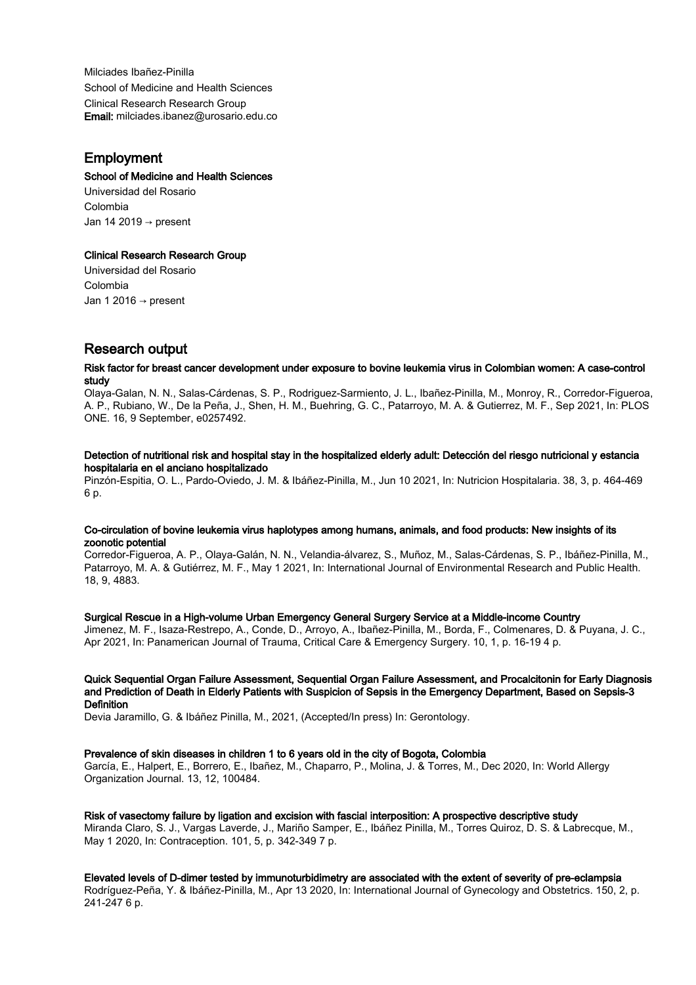Milciades Ibañez-Pinilla School of Medicine and Health Sciences Clinical Research Research Group Email: milciades.ibanez@urosario.edu.co

# Employment

## School of Medicine and Health Sciences

Universidad del Rosario Colombia Jan 14 2019 → present

## Clinical Research Research Group

Universidad del Rosario Colombia Jan 1 2016 → present

# Research output

#### Risk factor for breast cancer development under exposure to bovine leukemia virus in Colombian women: A case-control study

Olaya-Galan, N. N., Salas-Cárdenas, S. P., Rodriguez-Sarmiento, J. L., Ibañez-Pinilla, M., Monroy, R., Corredor-Figueroa, A. P., Rubiano, W., De la Peña, J., Shen, H. M., Buehring, G. C., Patarroyo, M. A. & Gutierrez, M. F., Sep 2021, In: PLOS ONE. 16, 9 September, e0257492.

#### Detection of nutritional risk and hospital stay in the hospitalized elderly adult: Detección del riesgo nutricional y estancia hospitalaria en el anciano hospitalizado

Pinzón-Espitia, O. L., Pardo-Oviedo, J. M. & Ibáñez-Pinilla, M., Jun 10 2021, In: Nutricion Hospitalaria. 38, 3, p. 464-469 6 p.

#### Co-circulation of bovine leukemia virus haplotypes among humans, animals, and food products: New insights of its zoonotic potential

Corredor-Figueroa, A. P., Olaya-Galán, N. N., Velandia-álvarez, S., Muñoz, M., Salas-Cárdenas, S. P., Ibáñez-Pinilla, M., Patarroyo, M. A. & Gutiérrez, M. F., May 1 2021, In: International Journal of Environmental Research and Public Health. 18, 9, 4883.

#### Surgical Rescue in a High-volume Urban Emergency General Surgery Service at a Middle-income Country

Jimenez, M. F., Isaza-Restrepo, A., Conde, D., Arroyo, A., Ibañez-Pinilla, M., Borda, F., Colmenares, D. & Puyana, J. C., Apr 2021, In: Panamerican Journal of Trauma, Critical Care & Emergency Surgery. 10, 1, p. 16-19 4 p.

#### Quick Sequential Organ Failure Assessment, Sequential Organ Failure Assessment, and Procalcitonin for Early Diagnosis and Prediction of Death in Elderly Patients with Suspicion of Sepsis in the Emergency Department, Based on Sepsis-3 **Definition**

Devia Jaramillo, G. & Ibáñez Pinilla, M., 2021, (Accepted/In press) In: Gerontology.

#### Prevalence of skin diseases in children 1 to 6 years old in the city of Bogota, Colombia

García, E., Halpert, E., Borrero, E., Ibañez, M., Chaparro, P., Molina, J. & Torres, M., Dec 2020, In: World Allergy Organization Journal. 13, 12, 100484.

#### Risk of vasectomy failure by ligation and excision with fascial interposition: A prospective descriptive study

Miranda Claro, S. J., Vargas Laverde, J., Mariño Samper, E., Ibáñez Pinilla, M., Torres Quiroz, D. S. & Labrecque, M., May 1 2020, In: Contraception. 101, 5, p. 342-349 7 p.

#### Elevated levels of D-dimer tested by immunoturbidimetry are associated with the extent of severity of pre-eclampsia

Rodríguez-Peña, Y. & Ibáñez-Pinilla, M., Apr 13 2020, In: International Journal of Gynecology and Obstetrics. 150, 2, p. 241-247 6 p.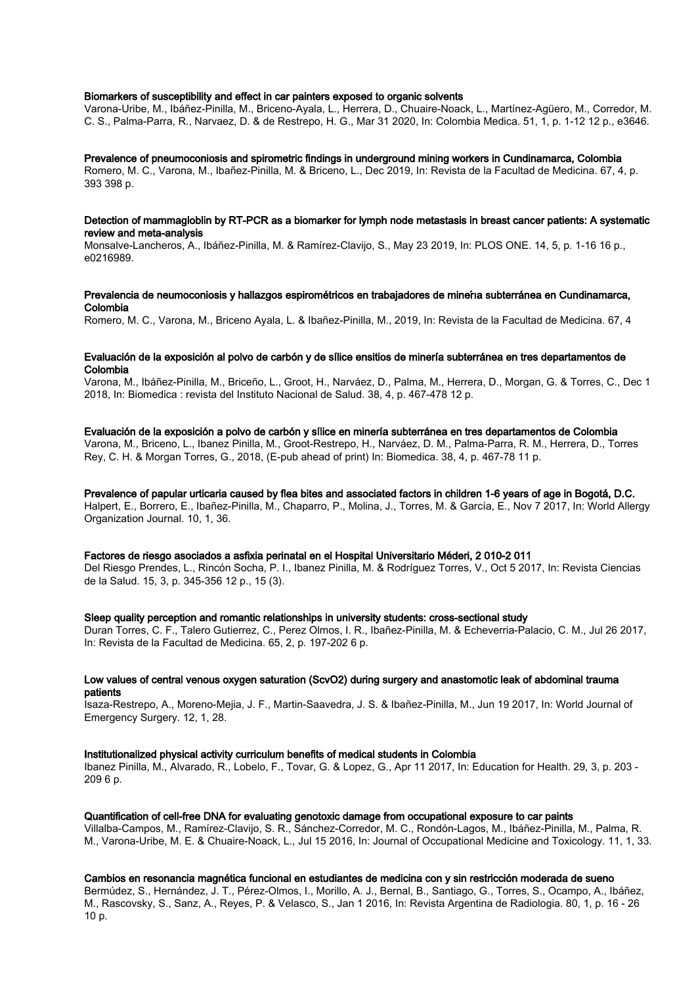#### Biomarkers of susceptibility and effect in car painters exposed to organic solvents

Varona-Uribe, M., Ibáñez-Pinilla, M., Briceno-Ayala, L., Herrera, D., Chuaire-Noack, L., Martínez-Agüero, M., Corredor, M. C. S., Palma-Parra, R., Narvaez, D. & de Restrepo, H. G., Mar 31 2020, In: Colombia Medica. 51, 1, p. 1-12 12 p., e3646.

#### Prevalence of pneumoconiosis and spirometric findings in underground mining workers in Cundinamarca, Colombia

Romero, M. C., Varona, M., Ibañez-Pinilla, M. & Briceno, L., Dec 2019, In: Revista de la Facultad de Medicina. 67, 4, p. 393 398 p.

#### Detection of mammagloblin by RT-PCR as a biomarker for lymph node metastasis in breast cancer patients: A systematic review and meta-analysis

Monsalve-Lancheros, A., Ibáñez-Pinilla, M. & Ramírez-Clavijo, S., May 23 2019, In: PLOS ONE. 14, 5, p. 1-16 16 p., e0216989.

#### Prevalencia de neumoconiosis y hallazgos espirométricos en trabajadores de mineŕıa subterránea en Cundinamarca, Colombia

Romero, M. C., Varona, M., Briceno Ayala, L. & Ibañez-Pinilla, M., 2019, In: Revista de la Facultad de Medicina. 67, 4

#### Evaluación de la exposición al polvo de carbón y de sílice ensitios de minería subterránea en tres departamentos de Colombia

Varona, M., Ibáñez-Pinilla, M., Briceño, L., Groot, H., Narváez, D., Palma, M., Herrera, D., Morgan, G. & Torres, C., Dec 1 2018, In: Biomedica : revista del Instituto Nacional de Salud. 38, 4, p. 467-478 12 p.

#### Evaluación de la exposición a polvo de carbón y sílice en minería subterránea en tres departamentos de Colombia

Varona, M., Briceno, L., Ibanez Pinilla, M., Groot-Restrepo, H., Narváez, D. M., Palma-Parra, R. M., Herrera, D., Torres Rey, C. H. & Morgan Torres, G., 2018, (E-pub ahead of print) In: Biomedica. 38, 4, p. 467-78 11 p.

#### Prevalence of papular urticaria caused by flea bites and associated factors in children 1-6 years of age in Bogotá, D.C.

Halpert, E., Borrero, E., Ibañez-Pinilla, M., Chaparro, P., Molina, J., Torres, M. & García, E., Nov 7 2017, In: World Allergy Organization Journal. 10, 1, 36.

#### Factores de riesgo asociados a asfixia perinatal en el Hospital Universitario Méderi, 2 010-2 011

Del Riesgo Prendes, L., Rincón Socha, P. I., Ibanez Pinilla, M. & Rodríguez Torres, V., Oct 5 2017, In: Revista Ciencias de la Salud. 15, 3, p. 345-356 12 p., 15 (3).

#### Sleep quality perception and romantic relationships in university students: cross-sectional study

Duran Torres, C. F., Talero Gutierrez, C., Perez Olmos, I. R., Ibañez-Pinilla, M. & Echeverria-Palacio, C. M., Jul 26 2017, In: Revista de la Facultad de Medicina. 65, 2, p. 197-202 6 p.

#### Low values of central venous oxygen saturation (ScvO2) during surgery and anastomotic leak of abdominal trauma patients

Isaza-Restrepo, A., Moreno-Mejia, J. F., Martin-Saavedra, J. S. & Ibañez-Pinilla, M., Jun 19 2017, In: World Journal of Emergency Surgery. 12, 1, 28.

#### Institutionalized physical activity curriculum benefits of medical students in Colombia

Ibanez Pinilla, M., Alvarado, R., Lobelo, F., Tovar, G. & Lopez, G., Apr 11 2017, In: Education for Health. 29, 3, p. 203 - 209 6 p.

### Quantification of cell-free DNA for evaluating genotoxic damage from occupational exposure to car paints

Villalba-Campos, M., Ramírez-Clavijo, S. R., Sánchez-Corredor, M. C., Rondón-Lagos, M., Ibáñez-Pinilla, M., Palma, R. M., Varona-Uribe, M. E. & Chuaire-Noack, L., Jul 15 2016, In: Journal of Occupational Medicine and Toxicology. 11, 1, 33.

#### Cambios en resonancia magnética funcional en estudiantes de medicina con y sin restricción moderada de sueno

Bermúdez, S., Hernández, J. T., Pérez-Olmos, I., Morillo, A. J., Bernal, B., Santiago, G., Torres, S., Ocampo, A., Ibáñez, M., Rascovsky, S., Sanz, A., Reyes, P. & Velasco, S., Jan 1 2016, In: Revista Argentina de Radiologia. 80, 1, p. 16 - 26 10 p.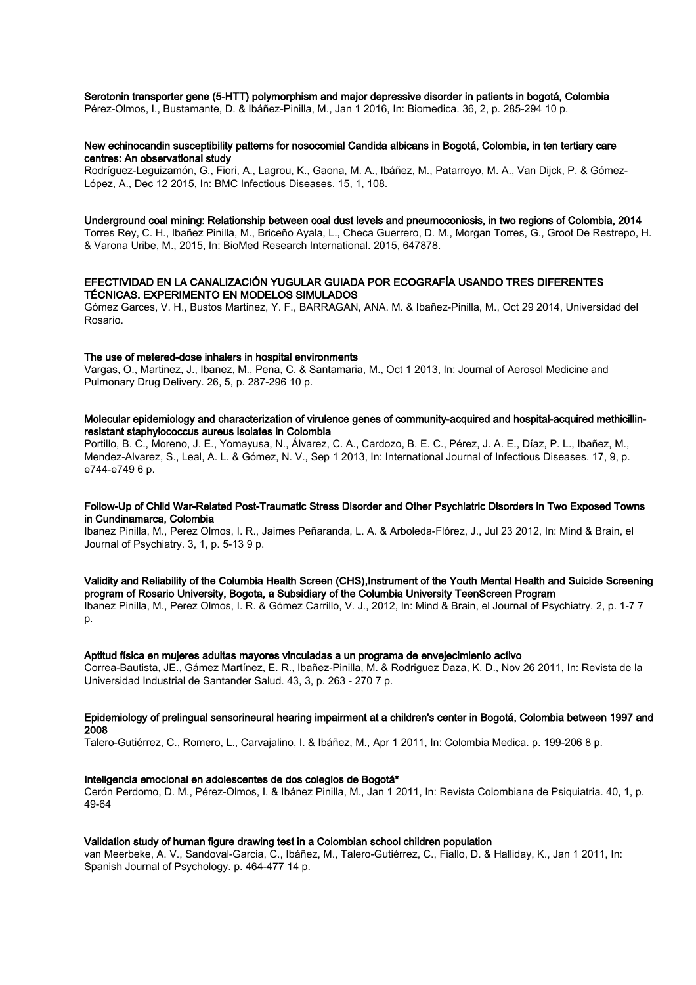Serotonin transporter gene (5-HTT) polymorphism and major depressive disorder in patients in bogotá, Colombia

Pérez-Olmos, I., Bustamante, D. & Ibáñez-Pinilla, M., Jan 1 2016, In: Biomedica. 36, 2, p. 285-294 10 p.

#### New echinocandin susceptibility patterns for nosocomial Candida albicans in Bogotá, Colombia, in ten tertiary care centres: An observational study

Rodríguez-Leguizamón, G., Fiori, A., Lagrou, K., Gaona, M. A., Ibáñez, M., Patarroyo, M. A., Van Dijck, P. & Gómez-López, A., Dec 12 2015, In: BMC Infectious Diseases. 15, 1, 108.

#### Underground coal mining: Relationship between coal dust levels and pneumoconiosis, in two regions of Colombia, 2014

Torres Rey, C. H., Ibañez Pinilla, M., Briceño Ayala, L., Checa Guerrero, D. M., Morgan Torres, G., Groot De Restrepo, H. & Varona Uribe, M., 2015, In: BioMed Research International. 2015, 647878.

#### EFECTIVIDAD EN LA CANALIZACIÓN YUGULAR GUIADA POR ECOGRAFÍA USANDO TRES DIFERENTES TÉCNICAS. EXPERIMENTO EN MODELOS SIMULADOS

Gómez Garces, V. H., Bustos Martinez, Y. F., BARRAGAN, ANA. M. & Ibañez-Pinilla, M., Oct 29 2014, Universidad del Rosario.

#### The use of metered-dose inhalers in hospital environments

Vargas, O., Martinez, J., Ibanez, M., Pena, C. & Santamaria, M., Oct 1 2013, In: Journal of Aerosol Medicine and Pulmonary Drug Delivery. 26, 5, p. 287-296 10 p.

#### Molecular epidemiology and characterization of virulence genes of community-acquired and hospital-acquired methicillinresistant staphylococcus aureus isolates in Colombia

Portillo, B. C., Moreno, J. E., Yomayusa, N., Álvarez, C. A., Cardozo, B. E. C., Pérez, J. A. E., Díaz, P. L., Ibañez, M., Mendez-Alvarez, S., Leal, A. L. & Gómez, N. V., Sep 1 2013, In: International Journal of Infectious Diseases. 17, 9, p. e744-e749 6 p.

#### Follow-Up of Child War-Related Post-Traumatic Stress Disorder and Other Psychiatric Disorders in Two Exposed Towns in Cundinamarca, Colombia

Ibanez Pinilla, M., Perez Olmos, I. R., Jaimes Peñaranda, L. A. & Arboleda-Flórez, J., Jul 23 2012, In: Mind & Brain, el Journal of Psychiatry. 3, 1, p. 5-13 9 p.

## Validity and Reliability of the Columbia Health Screen (CHS),Instrument of the Youth Mental Health and Suicide Screening program of Rosario University, Bogota, a Subsidiary of the Columbia University TeenScreen Program

Ibanez Pinilla, M., Perez Olmos, I. R. & Gómez Carrillo, V. J., 2012, In: Mind & Brain, el Journal of Psychiatry. 2, p. 1-7 7 p.

#### Aptitud física en mujeres adultas mayores vinculadas a un programa de envejecimiento activo

Correa-Bautista, JE., Gámez Martínez, E. R., Ibañez-Pinilla, M. & Rodriguez Daza, K. D., Nov 26 2011, In: Revista de la Universidad Industrial de Santander Salud. 43, 3, p. 263 - 270 7 p.

#### Epidemiology of prelingual sensorineural hearing impairment at a children's center in Bogotá, Colombia between 1997 and 2008

Talero-Gutiérrez, C., Romero, L., Carvajalino, I. & Ibáñez, M., Apr 1 2011, In: Colombia Medica. p. 199-206 8 p.

#### Inteligencia emocional en adolescentes de dos colegios de Bogotá\*

Cerón Perdomo, D. M., Pérez-Olmos, I. & Ibánez Pinilla, M., Jan 1 2011, In: Revista Colombiana de Psiquiatria. 40, 1, p. 49-64

#### Validation study of human figure drawing test in a Colombian school children population

van Meerbeke, A. V., Sandoval-Garcia, C., Ibáñez, M., Talero-Gutiérrez, C., Fiallo, D. & Halliday, K., Jan 1 2011, In: Spanish Journal of Psychology. p. 464-477 14 p.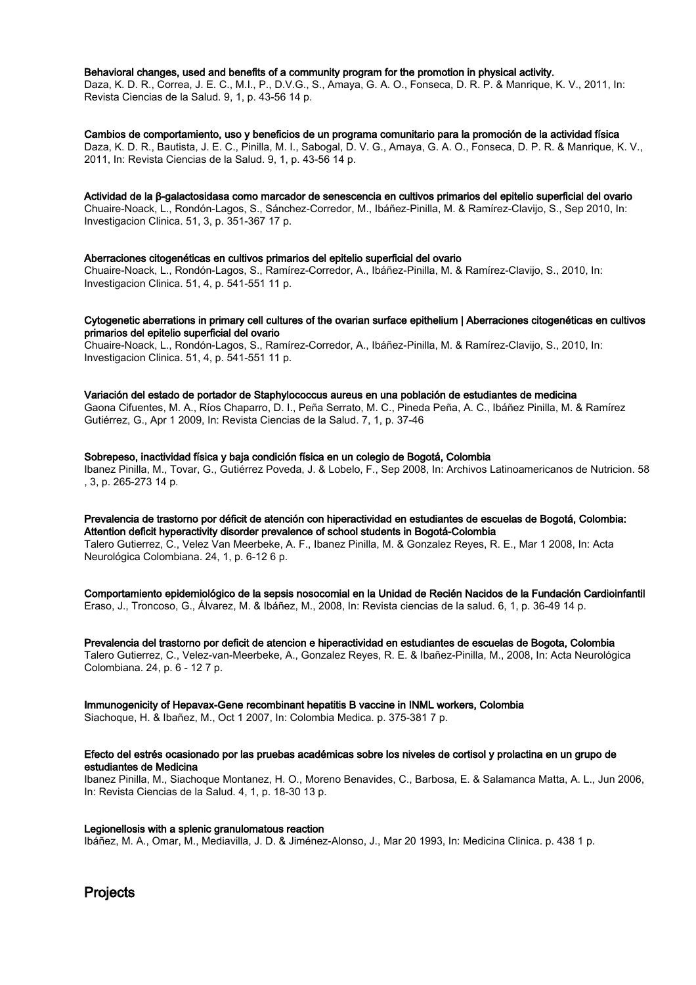#### Behavioral changes, used and benefits of a community program for the promotion in physical activity.

Daza, K. D. R., Correa, J. E. C., M.I., P., D.V.G., S., Amaya, G. A. O., Fonseca, D. R. P. & Manrique, K. V., 2011, In: Revista Ciencias de la Salud. 9, 1, p. 43-56 14 p.

Cambios de comportamiento, uso y beneficios de un programa comunitario para la promoción de la actividad física Daza, K. D. R., Bautista, J. E. C., Pinilla, M. I., Sabogal, D. V. G., Amaya, G. A. O., Fonseca, D. P. R. & Manrique, K. V., 2011, In: Revista Ciencias de la Salud. 9, 1, p. 43-56 14 p.

Actividad de la β-galactosidasa como marcador de senescencia en cultivos primarios del epitelio superficial del ovario Chuaire-Noack, L., Rondón-Lagos, S., Sánchez-Corredor, M., Ibáñez-Pinilla, M. & Ramírez-Clavijo, S., Sep 2010, In: Investigacion Clinica. 51, 3, p. 351-367 17 p.

#### Aberraciones citogenéticas en cultivos primarios del epitelio superficial del ovario

Chuaire-Noack, L., Rondón-Lagos, S., Ramírez-Corredor, A., Ibáñez-Pinilla, M. & Ramírez-Clavijo, S., 2010, In: Investigacion Clinica. 51, 4, p. 541-551 11 p.

#### Cytogenetic aberrations in primary cell cultures of the ovarian surface epithelium | Aberraciones citogenéticas en cultivos primarios del epitelio superficial del ovario

Chuaire-Noack, L., Rondón-Lagos, S., Ramírez-Corredor, A., Ibáñez-Pinilla, M. & Ramírez-Clavijo, S., 2010, In: Investigacion Clinica. 51, 4, p. 541-551 11 p.

Variación del estado de portador de Staphylococcus aureus en una población de estudiantes de medicina Gaona Cifuentes, M. A., Ríos Chaparro, D. I., Peña Serrato, M. C., Pineda Peña, A. C., Ibáñez Pinilla, M. & Ramírez Gutiérrez, G., Apr 1 2009, In: Revista Ciencias de la Salud. 7, 1, p. 37-46

Sobrepeso, inactividad física y baja condición física en un colegio de Bogotá, Colombia Ibanez Pinilla, M., Tovar, G., Gutiérrez Poveda, J. & Lobelo, F., Sep 2008, In: Archivos Latinoamericanos de Nutricion. 58 , 3, p. 265-273 14 p.

Prevalencia de trastorno por déficit de atención con hiperactividad en estudiantes de escuelas de Bogotá, Colombia: Attention deficit hyperactivity disorder prevalence of school students in Bogotá-Colombia Talero Gutierrez, C., Velez Van Meerbeke, A. F., Ibanez Pinilla, M. & Gonzalez Reyes, R. E., Mar 1 2008, In: Acta Neurológica Colombiana. 24, 1, p. 6-12 6 p.

Comportamiento epidemiológico de la sepsis nosocomial en la Unidad de Recién Nacidos de la Fundación Cardioinfantil Eraso, J., Troncoso, G., Álvarez, M. & Ibáñez, M., 2008, In: Revista ciencias de la salud. 6, 1, p. 36-49 14 p.

Prevalencia del trastorno por deficit de atencion e hiperactividad en estudiantes de escuelas de Bogota, Colombia Talero Gutierrez, C., Velez-van-Meerbeke, A., Gonzalez Reyes, R. E. & Ibañez-Pinilla, M., 2008, In: Acta Neurológica Colombiana. 24, p. 6 - 12 7 p.

## Immunogenicity of Hepavax-Gene recombinant hepatitis B vaccine in INML workers, Colombia

Siachoque, H. & Ibañez, M., Oct 1 2007, In: Colombia Medica. p. 375-381 7 p.

#### Efecto del estrés ocasionado por las pruebas académicas sobre los niveles de cortisol y prolactina en un grupo de estudiantes de Medicina

Ibanez Pinilla, M., Siachoque Montanez, H. O., Moreno Benavides, C., Barbosa, E. & Salamanca Matta, A. L., Jun 2006, In: Revista Ciencias de la Salud. 4, 1, p. 18-30 13 p.

#### Legionellosis with a splenic granulomatous reaction

Ibáñez, M. A., Omar, M., Mediavilla, J. D. & Jiménez-Alonso, J., Mar 20 1993, In: Medicina Clinica. p. 438 1 p.

## **Projects**